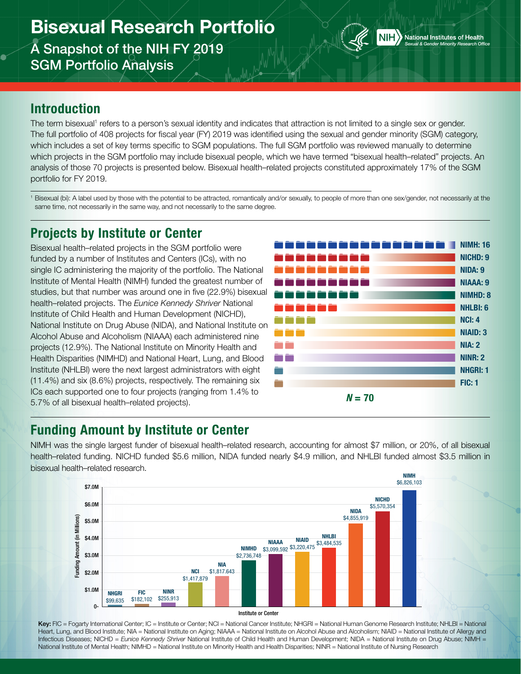# Bisexual Research Portfolio A Snapshot of the NIH FY 2019

SGM Portfolio Analysis



#### Introduction

The term bisexual<sup>1</sup> refers to a person's sexual identity and indicates that attraction is not limited to a single sex or gender. The full portfolio of 408 projects for fiscal year (FY) 2019 was identified using the sexual and gender minority (SGM) category, which includes a set of key terms specific to SGM populations. The full SGM portfolio was reviewed manually to determine which projects in the SGM portfolio may include bisexual people, which we have termed "bisexual health–related" projects. An analysis of those 70 projects is presented below. Bisexual health–related projects constituted approximately 17% of the SGM portfolio for FY 2019.

<sup>1</sup> Bisexual (bi): A label used by those with the potential to be attracted, romantically and/or sexually, to people of more than one sex/gender, not necessarily at the same time, not necessarily in the same way, and not necessarily to the same degree.

### Projects by Institute or Center

Bisexual health–related projects in the SGM portfolio were funded by a number of Institutes and Centers (ICs), with no single IC administering the majority of the portfolio. The National Institute of Mental Health (NIMH) funded the greatest number of studies, but that number was around one in five (22.9%) bisexual health–related projects. The *Eunice Kennedy Shriver* National Institute of Child Health and Human Development (NICHD), National Institute on Drug Abuse (NIDA), and National Institute on Alcohol Abuse and Alcoholism (NIAAA) each administered nine projects (12.9%). The National Institute on Minority Health and Health Disparities (NIMHD) and National Heart, Lung, and Blood Institute (NHLBI) were the next largest administrators with eight (11.4%) and six (8.6%) projects, respectively. The remaining six ICs each supported one to four projects (ranging from 1.4% to 5.7% of all bisexual health–related projects).



### Funding Amount by Institute or Center

NIMH was the single largest funder of bisexual health–related research, accounting for almost \$7 million, or 20%, of all bisexual health–related funding. NICHD funded \$5.6 million, NIDA funded nearly \$4.9 million, and NHLBI funded almost \$3.5 million in bisexual health–related research. NIMH





Key: FIC = Fogarty International Center; IC = Institute or Center; NCI = National Cancer Institute; NHGRI = National Human Genome Research Institute; NHLBI = National Heart, Lung, and Blood Institute; NIA = National Institute on Aging; NIAAA = National Institute on Alcohol Abuse and Alcoholism; NIAID = National Institute of Allergy and Infectious Diseases; NICHD = *Eunice Kennedy Shriver* National Institute of Child Health and Human Development; NIDA = National Institute on Drug Abuse; NIMH = National Institute of Mental Health; NIMHD = National Institute on Minority Health and Health Disparities; NINR = National Institute of Nursing Research